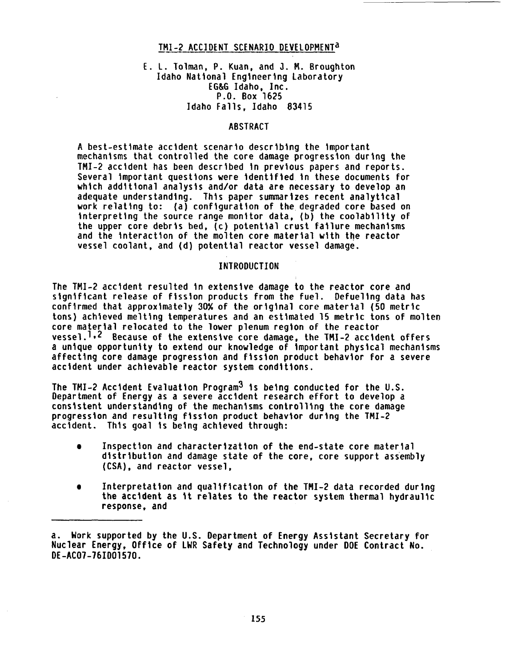## TMI-2 ACCIDENT SCENARIO DEVELOPMENTa

## E. L. Tolman, P. Kuan, and J. M. Broughton Idaho National Engineering Laboratory EG&G Idaho, Inc. P.O. Box 1625 Idaho Falls, Idaho 83415

### ABSTRACT

A best-estimate accident scenario describing the important mechanisms that controlled the core damage progression during the TMI-2 accident has been described in previous papers and reports. Several important questions were identified in these documents for which additional analysis and/or data are necessary to develop an adequate understanding. This paper summarizes recent analytical work relating to: (a) configuration of the degraded core based on interpreting the source range monitor data, (b) the coolability of the upper core debris bed, (c) potential crust failure mechanisms and the interaction of the molten core material with the reactor vessel coolant, and (d) potential reactor vessel damage.

#### INTRODUCTION

The TMI-2 accident resulted in extensive damage to the reactor core and significant release of fission products from the fuel. Defueling data has confirmed that approximately 30% of the original core material (50 metric tons) achieved melting temperatures and an estimated 15 metric tons of molten core material relocated to the lower plenum region of the reactor vessel.<sup>1,2</sup> Because of the extensive core damage, the TMI-2 accident offers a unique opportunity to extend our knowledge of important physical mechanisms affecting core damage progression and fission product behavior for a severe accident under achievable reactor system conditions.

The TMI-2 Accident Evaluation Program<sup>3</sup> is being conducted for the U.S. Department of Energy as a severe accident research effort to develop a consistent understanding of the mechanisms controlling the core damage progression and resulting fission product behavior during the TMI-2 accident. This goal is being achieved through:

- Inspection and characterization of the end-state core material distribution and damage state of the core, core support assembly (CSA), and reactor vessel,
- $\bullet$  Interpretation and qualification of the TMI-2 data recorded during the accident as it relates to the reactor system thermal hydraulic response, and

a. Work supported by the U.S. Department of Energy Assistant Secretary for Nuclear Energy, Office of LWR Safety and Technology under DOE Contract No. DE-AC07-761D01570.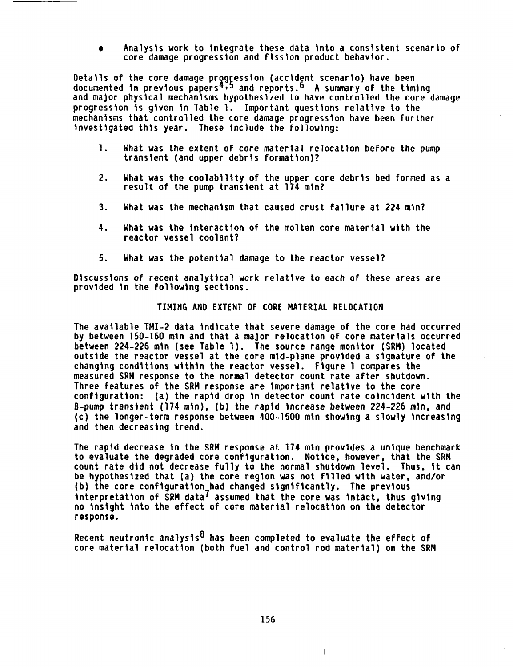Analysis work to integrate these data into a consistent scenario of core damage progression and fission product behavior.

Details of the core damage progression (accident scenario) have been documented in previous papers<sup>4,5</sup> and reports.<sup>6</sup> A summary of the timing and major physical mechanisms hypothesized to have controlled the core damage progression is given in Table 1. Important questions relative to the mechanisms that controlled the core damage progression have been further investigated this year. These include the following:

- 1. What was the extent of core material relocation before the pump transient (and upper debris formation)?
- 2. What was the coolability of the upper core debris bed formed as a result of the pump transient at 174 min?
- 3. What was the mechanism that caused crust failure at 224 min?
- 4. What was the interaction of the molten core material with the reactor vessel coolant?
- 5. What was the potential damage to the reactor vessel?

Discussions of recent analytical work relative to each of these areas are provided in the following sections.

TIMING AND EXTENT OF CORE MATERIAL RELOCATION

The available TMI-2 data indicate that severe damage of the core had occurred by between 150-160 min and that a major relocation of core materials occurred between 224-226 min (see Table 1). The source range monitor (SRM) located outside the reactor vessel at the core mid-plane provided a signature of the changing conditions within the reactor vessel. Figure 1 compares the measured SRM response to the normal detector count rate after shutdown. Three features of the SRM response are important relative to the core configuration: (a) the rapid drop in detector count rate coincident with the B-pump transient (174 min), (b) the rapid increase between 224-226 min, and (c) the longer-term response between 400-1500 min showing a slowly increasing and then decreasing trend.

The rapid decrease in the SRM response at 174 min provides a unique benchmark to evaluate the degraded core configuration. Notice, however, that the SRM count rate did not decrease fully to the normal shutdown level. Thus, it can be hypothesized that (a) the core region was not filled with water, and/or (b) the core configuration had changed significantly. The previous interpretation of SRM data $<sup>I</sup>$  assumed that the core was intact, thus giving</sup> no insight into the effect of core material relocation on the detector response.

Recent neutronic analysis $8$  has been completed to evaluate the effect of core material relocation (both fuel and control rod material) on the SRM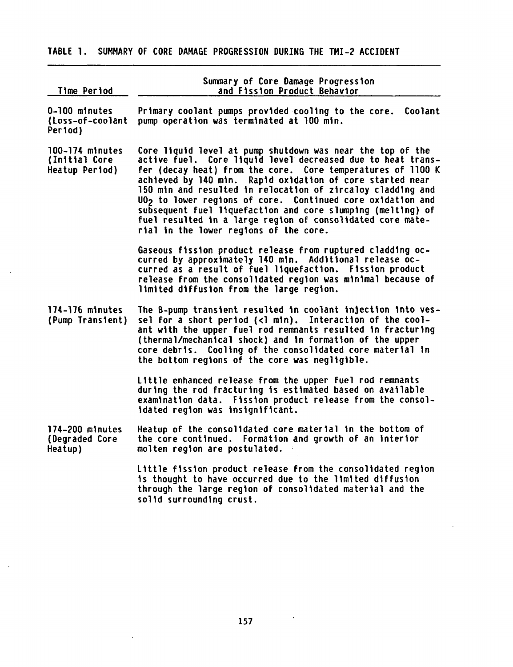# TABLE 1. SUMMARY OF CORE DAMAGE PROGRESSION DURING THE TMI-2 ACCIDENT

| Time Period                                        | Summary of Core Damage Progression<br>and Fission Product Behavior                                                                                                                                                                                                                                                                                                                                                                                                                                                                                                    |
|----------------------------------------------------|-----------------------------------------------------------------------------------------------------------------------------------------------------------------------------------------------------------------------------------------------------------------------------------------------------------------------------------------------------------------------------------------------------------------------------------------------------------------------------------------------------------------------------------------------------------------------|
| 0-100 minutes<br>{Loss-of-coolant<br>Period)       | Primary coolant pumps provided cooling to the core.<br>Coolant<br>pump operation was terminated at 100 min.                                                                                                                                                                                                                                                                                                                                                                                                                                                           |
| 100-174 minutes<br>(Initial Core<br>Heatup Period) | Core liquid level at pump shutdown was near the top of the<br>active fuel. Core liquid level decreased due to heat trans-<br>fer (decay heat) from the core. Core temperatures of 1100 K<br>achieved by 140 min. Rapid oxidation of core started near<br>150 min and resulted in relocation of zircaloy cladding and<br>UO <sub>2</sub> to lower regions of core. Continued core oxidation and<br>subsequent fuel liquefaction and core slumping (melting) of<br>fuel resulted in a large region of consolidated core mate-<br>rial in the lower regions of the core. |
|                                                    | Gaseous fission product release from ruptured cladding oc-<br>curred by approximately 140 min. Additional release oc-<br>curred as a result of fuel liquefaction. Fission product<br>release from the consolidated region was minimal because of<br>limited diffusion from the large region.                                                                                                                                                                                                                                                                          |
| 174-176 minutes<br>(Pump Transient)                | The B-pump transient resulted in coolant injection into ves-<br>sel for a short period (<1 min). Interaction of the cool-<br>ant with the upper fuel rod remnants resulted in fracturing<br>(thermal/mechanical shock) and in formation of the upper<br>core debris. Cooling of the consolidated core material in<br>the bottom regions of the core was negligible.                                                                                                                                                                                                   |
|                                                    | Little enhanced release from the upper fuel rod remnants<br>during the rod fracturing is estimated based on available<br>examination data. Fission product release from the consol-<br>idated region was insignificant.                                                                                                                                                                                                                                                                                                                                               |
| 174-200 minutes<br>(Degraded Core<br>Heatup)       | Heatup of the consolidated core material in the bottom of<br>the core continued. Formation and growth of an interior<br>molten region are postulated.                                                                                                                                                                                                                                                                                                                                                                                                                 |
|                                                    | Little fission product release from the consolidated region<br>is thought to have occurred due to the limited diffusion<br>through the large region of consolidated material and the<br>solid surrounding crust.                                                                                                                                                                                                                                                                                                                                                      |

 $\sim$ 

 $\hat{\mathcal{A}}$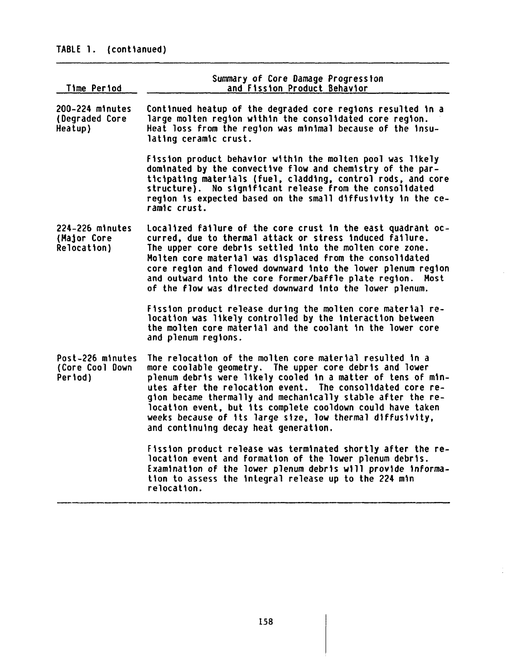# TABLE 1. (contianued)

| Time Period                                    | Summary of Core Damage Progression<br>and Fission Product Behavior                                                                                                                                                                                                                                                                                                                                                                                                                   |
|------------------------------------------------|--------------------------------------------------------------------------------------------------------------------------------------------------------------------------------------------------------------------------------------------------------------------------------------------------------------------------------------------------------------------------------------------------------------------------------------------------------------------------------------|
| 200-224 minutes<br>(Degraded Core<br>Heatup)   | Continued heatup of the degraded core regions resulted in a<br>large molten region within the consolidated core region.<br>Heat loss from the region was minimal because of the insu-<br>lating ceramic crust.                                                                                                                                                                                                                                                                       |
|                                                | Fission product behavior within the molten pool was likely<br>dominated by the convective flow and chemistry of the par-<br>ticipating materials (fuel, cladding, control rods, and core<br>structure). No significant release from the consolidated<br>region is expected based on the small diffusivity in the ce-<br>ramic crust.                                                                                                                                                 |
| 224-226 minutes<br>(Major Core<br>Relocation)  | Localized failure of the core crust in the east quadrant oc-<br>curred, due to thermal attack or stress induced failure.<br>The upper core debris settled into the molten core zone.<br>Molten core material was displaced from the consolidated<br>core region and flowed downward into the lower plenum region<br>and outward into the core former/baffle plate region.<br>Most<br>of the flow was directed downward into the lower plenum.                                        |
|                                                | Fission product release during the molten core material re-<br>location was likely controlled by the interaction between<br>the molten core material and the coolant in the lower core<br>and plenum regions.                                                                                                                                                                                                                                                                        |
| Post-226 minutes<br>(Core Cool Down<br>Period) | The relocation of the molten core material resulted in a<br>more coolable geometry. The upper core debris and lower<br>plenum debris were likely cooled in a matter of tens of min-<br>utes after the relocation event. The consolidated core re-<br>gion became thermally and mechanically stable after the re-<br>location event, but its complete cooldown could have taken<br>weeks because of its large size, low thermal diffusivity,<br>and continuing decay heat generation. |
|                                                | Fission product release was terminated shortly after the re-<br>location event and formation of the lower plenum debris.<br>Examination of the lower plenum debris will provide informa-<br>tion to assess the integral release up to the 224 min<br>relocation.                                                                                                                                                                                                                     |

 $\sim$ 

 $\frac{1}{2}$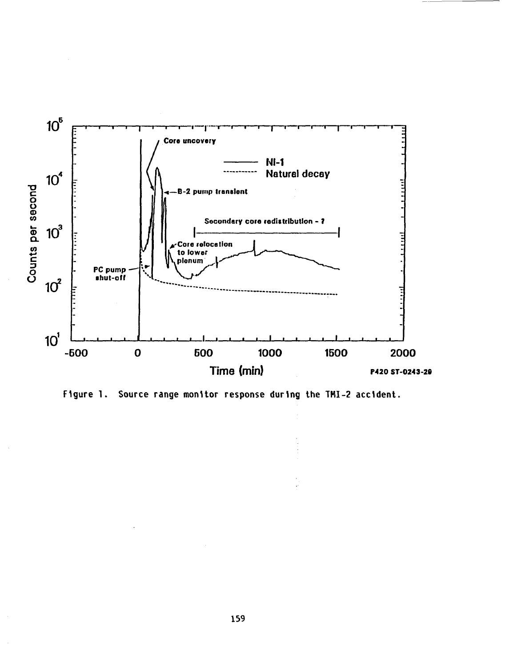

Figure 1. Source range monitor response during the TMI-2 accident.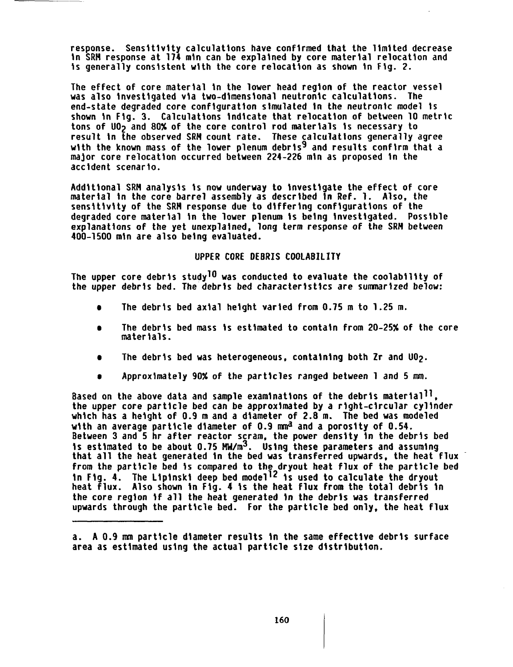response. Sensitivity calculations have confirmed that the limited decrease In SRM response at 174 min can be explained by core material relocation and is generally consistent with the core relocation as shown in Fig. 2.

The effect of core material in the lower head region of the reactor vessel was also investigated via two-dimensional neutronic calculations. The end-state degraded core configuration simulated in the neutronic model is shown in Fig. 3. Calculations indicate that relocation of between 10 metric tons of UO<sub>2</sub> and 80% of the core control rod materials is necessary to result in the observed SRM count rate. These calculations generally agree with the known mass of the lower plenum debris<sup>9</sup> and results confirm that a major core relocation occurred between 224-226 min as proposed in the accident scenario.

Additional SRM analysis is now underway to investigate the effect of core material in the core barrel assembly as described in Ref. 1. Also, the sensitivity of the SRM response due to differing configurations of the degraded core material in the lower plenum is being investigated. Possible explanations of the yet unexplained, long term response of the SRM between 400-1500 min are also being evaluated.

## UPPER CORE DEBRIS COOLABILITY

The upper core debris study<sup>10</sup> was conducted to evaluate the coolability of the upper debris bed. The debris bed characteristics are summarized below:

- e The debris bed axial height varied from 0.75 m to 1.25 m.
- The debris bed mass is estimated to contain from 20-25% of the core materials.
- The debris bed was heterogeneous, containing both Zr and U02.
- Approximately 90% of the particles ranged between 1 and 5 mm.

Based on the above data and sample examinations of the debris material<sup>11</sup>,<br>the upper core particle bed can be approximated by a right-circular cylinder which has a height of 0.9 m and a diameter of 2.8 m. The bed was modeled with an average particle diameter of 0.9 mm<sup>a</sup> and a porosity of 0.54. Between 3 and 5 hr after reactor scram, the power density in the debris bed is estimated to be about  $0.75$  MW/m<sup>3</sup>. Using these parameters and assuming that all the heat generated in the bed was transferred upwards, the heat flux from the particle bed is compared to the dryout heat flux of the particle bed in Fig. 4. The Lipinski deep bed model<sup>12</sup> is used to calculate the dryout heat flux. Also shown in Fig. 4 is the heat flux from the total debris in the core region if all the heat generated in the debris was transferred upwards through the particle bed. For the particle bed only, the heat flux

a. A 0.9 mm particle diameter results in the same effective debris surface area as estimated using the actual particle size distribution.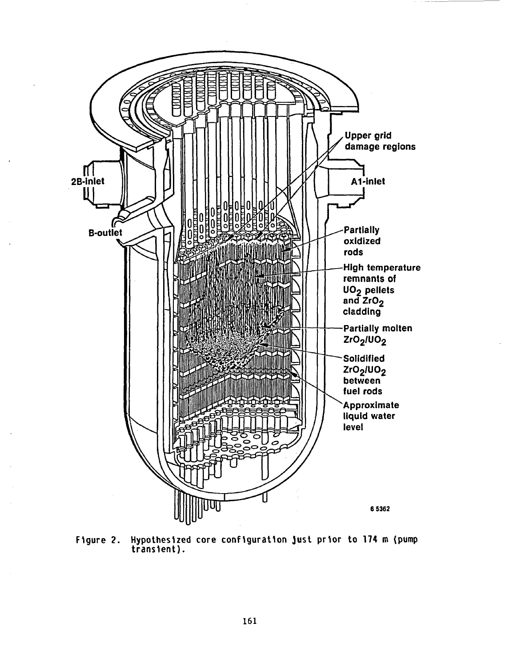

Figure 2. Hypothesized core configuration Just prior to **174** m (pump transient).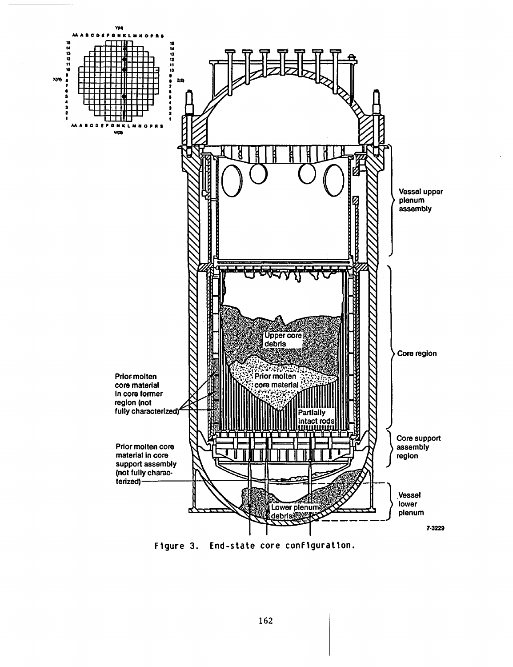

Figure 3. End-state core configuration.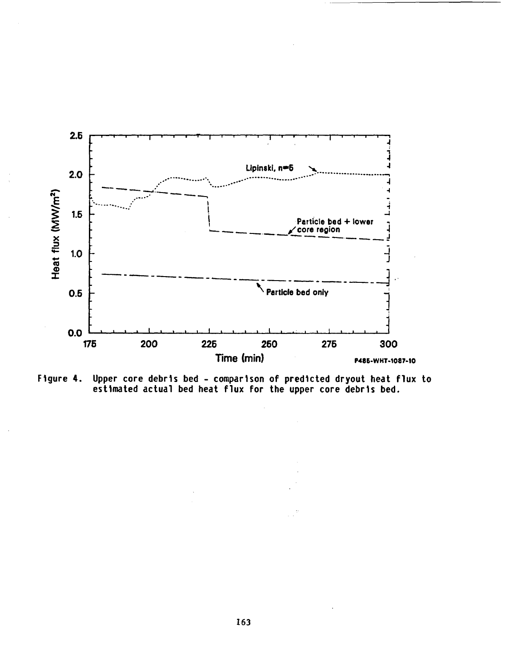

Upper core debris bed - comparison of predicted dryout heat flux to<br>estimated actual bed heat flux for the upper core debris bed. Figure 4.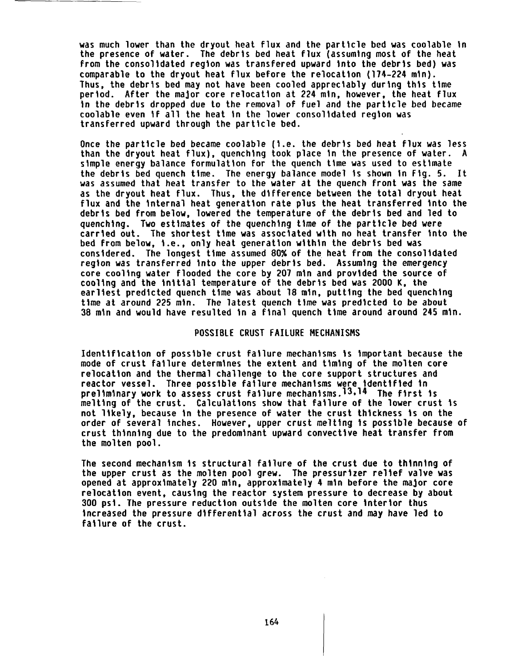was much lower than the dryout heat flux and the particle bed was coolable in the presence of water. The debris bed heat flux (assuming most of the heat from the consolidated region was transfered upward into the debris bed) was comparable to the dryout heat flux before the relocation (174-224 min). Thus, the debris bed may not have been cooled appreciably during this time period. After the major core relocation at 224 min, however, the heat flux in the debris dropped due to the removal of fuel and the particle bed became coolable even if all the heat in the lower consolidated region was transferred upward through the particle bed.

Once the particle bed became coolable (i.e. the debris bed heat flux was less than the dryout heat flux), quenching took place in the presence of water. simple energy balance formulation for the quench time was used to estimate the debris bed quench time. The energy balance model is shown in Fig. 5. It was assumed that heat transfer to the water at the quench front was the same as the dryout heat flux. Thus, the difference between the total dryout heat flux and the internal heat generation rate plus the heat transferred into the debris bed from below, lowered the temperature of the debris bed and led to quenching. Two estimates of the quenching time of the particle bed were carried out. The shortest time was associated with no heat transfer into the bed from below, i.e., only heat generation within the debris bed was considered. The longest time assumed 80% of the heat from the consolidated region was transferred into the upper debris bed. Assuming the emergency core cooling water flooded the core by 207 min and provided the source of cooling and the initial temperature of the debris bed was 2000 K, the earliest predicted quench time was about 18 min, putting the bed quenching time at around 225 min. The latest quench time was predicted to be about 38 min and would have resulted in a final quench time around around 245 min.

#### POSSIBLE CRUST FAILURE MECHANISMS

Identification of possible crust failure mechanisms is important because the mode of crust failure determines the extent and timing of the molten core relocation and the thermal challenge to the core support structures and reactor vessel. Three possible failure mechanisms were identified in preliminary work to assess crust failure mechanisms. $13,14$  The first is melting of the crust. Calculations show that failure of the lower crust is not likely, because in the presence of water the crust thickness is on the order of several inches. However, upper crust melting is possible because of crust thinning due to the predominant upward convective heat transfer from the molten pool.

The second mechanism is structural failure of the crust due to thinning of the upper crust as the molten pool grew. The pressurizer relief valve was opened at approximately 220 min, approximately 4 min before the major core relocation event, causing the reactor system pressure to decrease by about 300 psi. The pressure reduction outside the molten core interior thus increased the pressure differential across the crust and may have led to failure of the crust.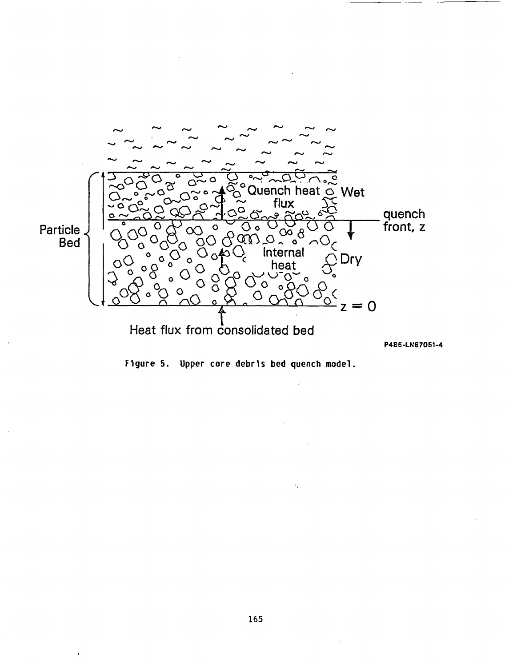

P485-LN87051-4

Figure 5. Upper core debris bed quench model.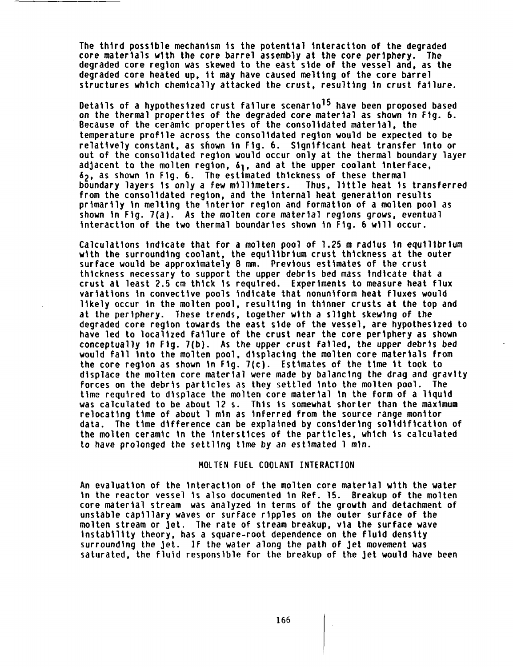The third possible mechanism is the potential interaction of the degraded core materials with the core barrel assembly at the core periphery. The degraded core region was skewed to the east side of the vessel and, as the degraded core heated up, it may have caused melting of the core barrel structures which chemically attacked the crust, resulting in crust failure.

Details of a hypothesized crust failure scenario<sup>15</sup> have been proposed based on the thermal properties of the degraded core material as shown in Fig. 6. Because of the ceramic properties of the consolidated material, the temperature profile across the consolidated region would be expected to be relatively constant, as shown in Fig. 6. Significant heat transfer into or out of the consolidated region would occur only at the thermal boundary layer adjacent to the molten region,  $\delta_1$ , and at the upper coolant interface, 62, as shown in Fig. 6. The estimated thickness of these thermal boundary layers is only a few millimeters. Thus, little heat is transferred from the consolidated region, and the internal heat generation results primarily in melting the interior region and formation of a molten pool as shown in Fig. 7(a). As the molten core material regions grows, eventual interaction of the two thermal boundaries shown in Fig. 6 will occur.

Calculations indicate that for a molten pool of 1.25 m radius In equilibrium with the surrounding coolant, the equilibrium crust thickness at the outer surface would be approximately 8 mm. Previous estimates of the crust thickness necessary to support the upper debris bed mass indicate that a crust at least 2.5 cm thick is required. Experiments to measure heat flux variations in convective pools indicate that nonuniform heat fluxes would likely occur in the molten pool, resulting in thinner crusts at the top and at the periphery. These trends, together with a slight skewing of the degraded core region towards the east side of the vessel, are hypothesized to have led to localized failure of the crust near the core periphery as shown conceptually in Fig. 7(b). As the upper crust failed, the upper debris bed would fall into the molten pool, displacing the molten core materials from the core region as shown in Fig. 7(c). Estimates of the time it took to displace the molten core material were made by balancing the drag and gravity forces on the debris particles as they settled into the molten pool. The time required to displace the molten core material in the form of a liquid was calculated to be about 12 s. This is somewhat shorter than the maximum relocating time of about 1 min as inferred from the source range monitor data. The time difference can be explained by considering solidification of the molten ceramic in the interstices of the particles, which is calculated to have prolonged the settling time by an estimated 1 min.

### MOLTEN FUEL COOLANT INTERACTION

An evaluation of the interaction of the molten core material with the water in the reactor vessel is also documented in Ref. 15. Breakup of the molten core material stream was analyzed in terms of the growth and detachment of unstable capillary waves or surface ripples on the outer surface of the molten stream or jet. The rate of stream breakup, via the surface wave instability theory, has a square-root dependence on the fluid density surrounding the jet. If the water along the path of jet movement was saturated, the fluid responsible for the breakup of the jet would have been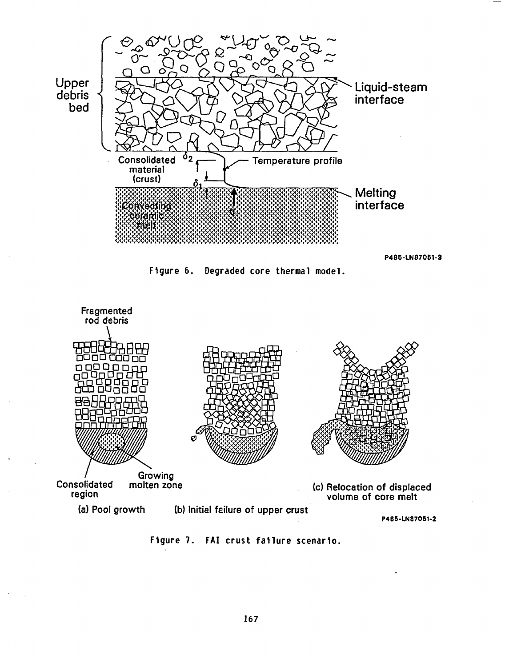

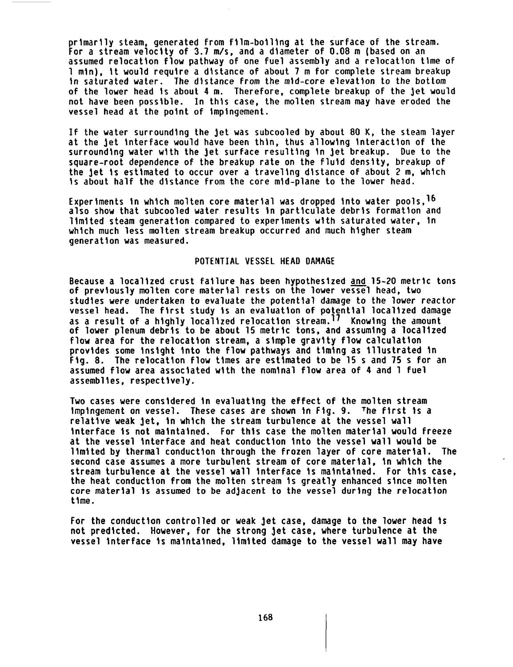primarily steam, generated from film-boiling at the surface of the stream. For a stream velocity of 3.7 m/s, and a diameter of 0.08 m (based on an assumed relocation flow pathway of one fuel assembly and a relocation time of 1 min), it would require a distance of about 7 m for complete stream breakup in saturated water. The distance from the mid-core elevation to the bottom of the lower head is about 4 m. Therefore, complete breakup of the jet would not have been possible. In this case, the molten stream may have eroded the vessel head at the point of impingement.

If the water surrounding the jet was subcooled by about 80 K, the steam layer at the jet interface would have been thin, thus allowing interaction of the surrounding water with the jet surface resulting in jet breakup. Due to the square-root dependence of the breakup rate on the fluid density, breakup of the jet is estimated to occur over a traveling distance of about 2 m, which is about half the distance from the core mid-plane to the lower head.

Experiments in which molten core material was dropped into water pools, <sup>16</sup> also show that subcooled water results in particulate debris formation and limited steam generation compared to experiments with saturated water, In which much less molten stream breakup occurred and much higher steam generation was measured.

#### POTENTIAL VESSEL HEAD DAMAGE

Because a localized crust failure has been hypothesized and 15-20 metric tons of previously molten core material rests on the lower vessel head, two studies were undertaken to evaluate the potential damage to the lower reactor vessel head. The first study is an evaluation of potential localized damage as a result of a highly localized relocation stream.<sup>17</sup> Knowing the amount of lower plenum debris to be about 15 metric tons, and assuming a localized flow area for the relocation stream, a simple gravity flow calculation provides some insight into the flow pathways and timing as Illustrated in Fig. 8. The relocation flow times are estimated to be 15 s and 75 s for an assumed flow area associated with the nominal flow area of 4 and 1 fuel assemblies, respectively.

Two cases were considered in evaluating the effect of the molten stream impingement on vessel. These cases are shown in Fig. 9. The first is a relative weak jet, in which the stream turbulence at the vessel wall interface is not maintained. For this case the molten material would freeze at the vessel interface and heat conduction into the vessel wall would be limited by thermal conduction through the frozen layer of core material. The second case assumes a more turbulent stream of core material, in which the stream turbulence at the vessel wall interface is maintained. For this case, the heat conduction from the molten stream is greatly enhanced since molten core material is assumed to be adjacent to the vessel during the relocation time.

For the conduction controlled or weak jet case, damage to the lower head is not predicted. However, for the strong jet case, where turbulence at the vessel interface is maintained, limited damage to the vessel wall may have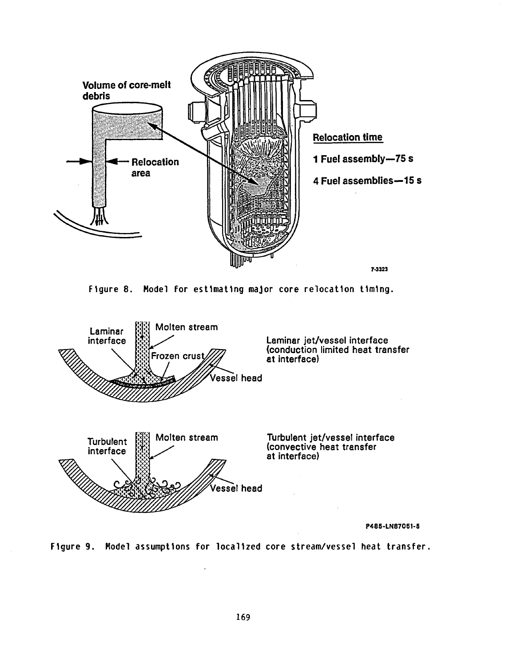





P485-LN87051-5

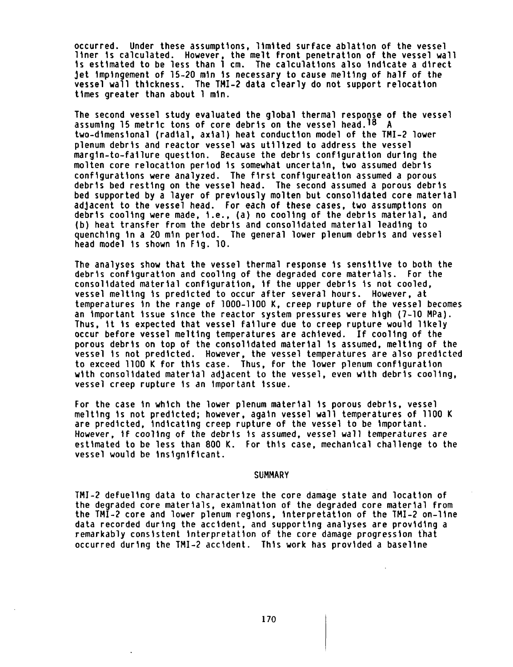occurred. Under these assumptions, limited surface ablation of the vessel liner is calculated. However, the melt front penetration of the vessel wall is estimated to be less than 1 cm. The calculations also indicate a direct jet impingement of 15-20 min is necessary to cause melting of half of the vessel wall thickness. The TMI-2 data clearly do not support relocation times greater than about 1 min.

The second vessel study evaluated the global thermal response of the vessel assuming 15 metric tons of core debris on the vessel head.<sup>18</sup> A two-dimensional (radial, axial) heat conduction model of the TMI-2 lower plenum debris and reactor vessel was utilized to address the vessel margin-to-failure question. Because the debris configuration during the molten core relocation period is somewhat uncertain, two assumed debris configurations were analyzed. The first configureation assumed a porous debris bed resting on the vessel head. The second assumed a porous debris bed supported by a layer of previously molten but consolidated core material adjacent to the vessel head. For each of these cases, two assumptions on debris cooling were made, i.e., (a) no cooling of the debris material, and (b) heat transfer from the debris and consolidated material leading to quenching in a 20 min period. The general lower plenum debris and vessel head model is shown in Fig. 10.

The analyses show that the vessel thermal response is sensitive to both the debris configuration and cooling of the degraded core materials. For the consolidated material configuration, if the upper debris is not cooled, vessel melting is predicted to occur after several hours. However, at temperatures in the range of 1000-1100 K, creep rupture of the vessel becomes an important issue since the reactor system pressures were high (7-10 MPa). Thus, it is expected that vessel failure due to creep rupture would likely occur before vessel melting temperatures are achieved. If cooling of the porous debris on top of the consolidated material is assumed, melting of the vessel is not predicted. However, the vessel temperatures are also predicted to exceed 1100 K for this case. Thus, for the lower plenum configuration with consolidated material adjacent to the vessel, even with debris cooling, vessel creep rupture is an important issue.

For the case in which the lower plenum material is porous debris, vessel melting is not predicted; however, again vessel wall temperatures of 1100 K are predicted, indicating creep rupture of the vessel to be important. However, if cooling of the debris is assumed, vessel wall temperatures are estimated to be less than 800 K. For this case, mechanical challenge to the vessel would be insignificant.

#### **SUMMARY**

TMI-2 defueling data to characterize the core damage state and location of the degraded core materials, examination of the degraded core material from the TMI-2 core and lower plenum regions, interpretation of the TMI-2 on-line data recorded during the accident, and supporting analyses are providing a remarkably consistent interpretation of the core damage progression that occurred during the TMI-2 accident. This work has provided a baseline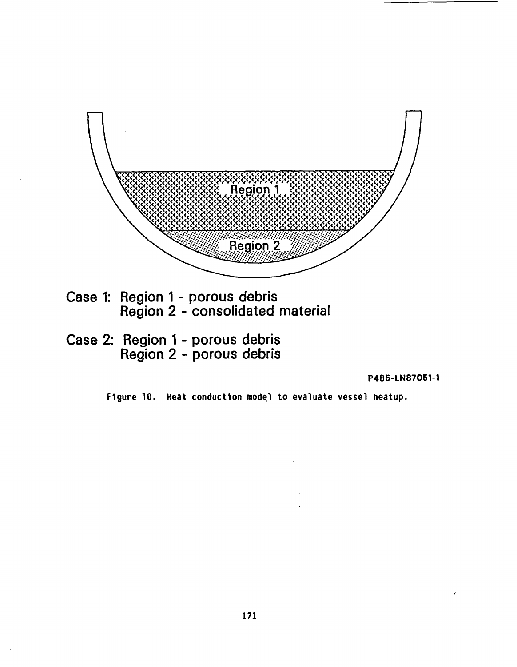

Case 2: Region 1 - porous debris Region 2 - porous debris

P486-LN87051-1

Figure 10. Heat conduction model to evaluate vessel heatup.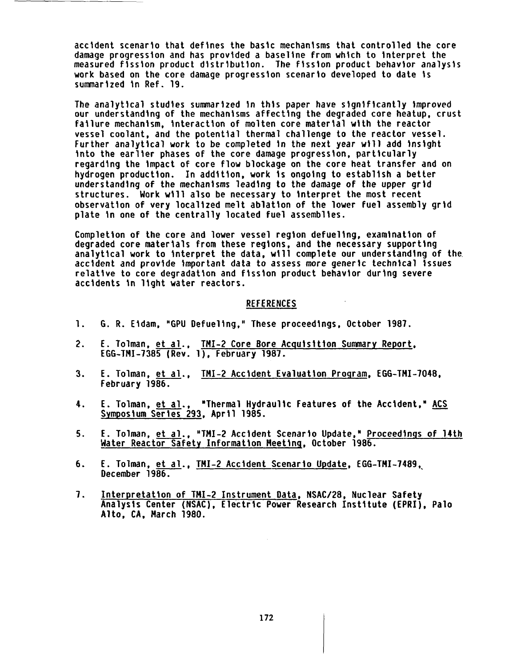accident scenario that defines the basic mechanisms that controlled the core damage progression and has provided a baseline from which to interpret the measured fission product distribution. The fission product behavior analysis work based on the core damage progression scenario developed to date is summarized in Ref. 19.

The analytical studies summarized in this paper have significantly improved our understanding of the mechanisms affecting the degraded core heatup, crust failure mechanism, interaction of molten core material with the reactor vessel coolant, and the potential thermal challenge to the reactor vessel. Further analytical work to be completed in the next year will add insight into the earlier phases of the core damage progression, particularly regarding the impact of core flow blockage on the core heat transfer and on hydrogen production. In addition, work is ongoing to establish a better understanding of the mechanisms leading to the damage of the upper grid structures. Work will also be necessary to interpret the most recent observation of very localized melt ablation of the lower fuel assembly grid plate in one of the centrally located fuel assemblies.

Completion of the core and lower vessel region defueling, examination of degraded core materials from these regions, and the necessary supporting analytical work to interpret the data, will complete our understanding of the. accident and provide important data to assess more generic technical issues relative to core degradation and fission product behavior during severe accidents in light water reactors.

#### REFERENCES

- 1. G. R. Eidam, "GPU Defueling," These proceedings, October 1987.
- 2. E. Tolman, et al., TMI-2 Core Bore Acquisition Summary Report, EGG-TMI-7385 (Rev. 1), February 1987.
- 3. E. Tolman, et al., TMI-2 Accident Evaluation Program, EGG-TMI-7048, February 1986.
- 4. E. Tolman, et al., "Thermal Hydraulic Features of the Accident," ACS Symposium Series 293, April 1985.
- 5. E. Tolman, et al., "TMI-2 Accident Scenario Update," Proceedings of 14th Water Reactor Safety Information Meeting, October 1986.
- 6. E. Tolman, et al., TMI-2 Accident Scenario Update, EGG-TMI-7489, December 1986.
- 7. Interpretation of TMI-2 Instrument Data, NSAC/28, Nuclear Safety Analysis Center (NSAC), Electric Power Research Institute (EPRI), Palo Alto, CA, March 1980.